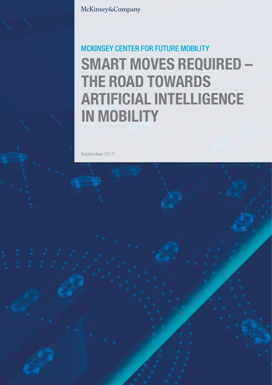McKinsey&Company

## **MCKINSEY CENTER FOR FUTURE MOBILITY** SMART MOVES REQUIRED – THE ROAD TOWARDS ARTIFICIAL INTELLIGENCE IN MOBILITY

September 2017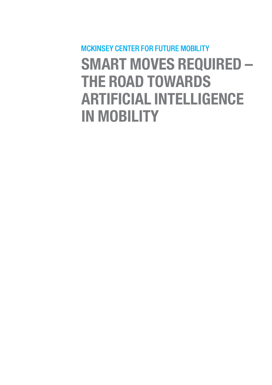## **MCKINSEY CENTER FOR FUTURE MOBILITY** SMART MOVES REQUIRED – THE ROAD TOWARDS ARTIFICIAL INTELLIGENCE IN MOBILITY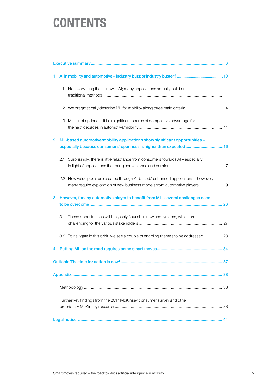## **CONTENTS**

| 1.             |                                                                                                                                                                   |  |
|----------------|-------------------------------------------------------------------------------------------------------------------------------------------------------------------|--|
|                | Not everything that is new is AI; many applications actually build on<br>1.1                                                                                      |  |
|                | 1.2 We pragmatically describe ML for mobility along three main criteria  14                                                                                       |  |
|                | 1.3 ML is not optional – it is a significant source of competitive advantage for                                                                                  |  |
| $\overline{2}$ | ML-based automotive/mobility applications show significant opportunities -<br>especially because consumers' openness is higher than expected16                    |  |
|                | Surprisingly, there is little reluctance from consumers towards AI - especially<br>2.1                                                                            |  |
|                | 2.2 New value pools are created through Al-based/-enhanced applications - however,<br>many require exploration of new business models from automotive players  19 |  |
| 3              | However, for any automotive player to benefit from ML, several challenges need                                                                                    |  |
|                | These opportunities will likely only flourish in new ecosystems, which are<br>3.1                                                                                 |  |
|                | 3.2 To navigate in this orbit, we see a couple of enabling themes to be addressed 28                                                                              |  |
| 4              |                                                                                                                                                                   |  |
|                |                                                                                                                                                                   |  |
|                |                                                                                                                                                                   |  |
|                |                                                                                                                                                                   |  |
|                | Further key findings from the 2017 McKinsey consumer survey and other                                                                                             |  |
|                |                                                                                                                                                                   |  |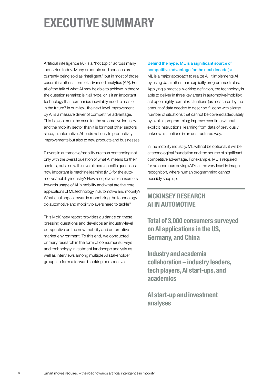## EXECUTIVE SUMMARY

Artificial intelligence (AI) is a "hot topic" across many industries today. Many products and services are currently being sold as "intelligent," but in most of those cases it is rather a form of advanced analytics (AA). For all of the talk of what AI may be able to achieve in theory, the question remains: is it all hype, or is it an important technology that companies inevitably need to master in the future? In our view, the next-level improvement by AI is a massive driver of competitive advantage. This is even more the case for the automotive industry and the mobility sector than it is for most other sectors since, in automotive, AI leads not only to productivity improvements but also to new products and businesses.

Players in automotive/mobility are thus contending not only with the overall question of what AI means for their sectors, but also with several more specific questions: how important is machine learning (ML) for the automotive/mobility industry? How receptive are consumers towards usage of AI in mobility and what are the core applications of ML technology in automotive and mobility? What challenges towards monetizing the technology do automotive and mobility players need to tackle?

This McKinsey report provides guidance on these pressing questions and develops an industry-level perspective on the new mobility and automotive market environment. To this end, we conducted primary research in the form of consumer surveys and technology investment landscape analysis as well as interviews among multiple AI stakeholder groups to form a forward-looking perspective.

#### Behind the hype, ML is a significant source of competitive advantage for the next decade(s)

ML is a major approach to realize AI. It implements AI by using data rather than explicitly programmed rules. Applying a practical working definition, the technology is able to deliver in three key areas in automotive/mobility: act upon highly complex situations (as measured by the amount of data needed to describe it); cope with a large number of situations that cannot be covered adequately by explicit programming; improve over time without explicit instructions, learning from data of previously unknown situations in an unstructured way.

In the mobility industry, ML will not be optional; it will be a technological foundation and the source of significant competitive advantage. For example, ML is required for autonomous driving (AD), at the very least in image recognition, where human programming cannot possibly keep up.

### MCKINSEY RESEARCH AI IN AUTOMOTIVE

Total of 3,000 consumers surveyed on AI applications in the US, Germany, and China

Industry and academia collaboration – industry leaders, tech players, AI start-ups, and academics

AI start-up and investment analyses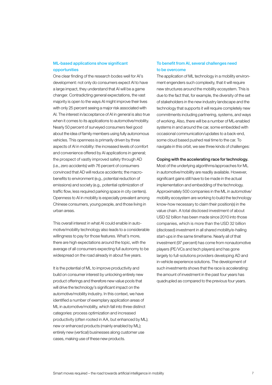#### ML-based applications show significant opportunities

One clear finding of the research bodes well for AI's development: not only do consumers expect AI to have a large impact, they understand that AI will be a game changer. Contradicting general expectations, the vast majority is open to the ways AI might improve their lives with only 25 percent seeing a major risk associated with AI. The interest in/acceptance of AI in general is also true when it comes to its applications to automotive/mobility. Nearly 50 percent of surveyed consumers feel good about the idea of family members using fully autonomous vehicles. This openness is primarily driven by three aspects of AI in mobility: the increased levels of comfort and convenience offered by AI applications in general; the prospect of vastly improved safety through AD (i.e., zero accidents) with 76 percent of consumers convinced that AD will reduce accidents; the macrobenefits to environment (e.g., potential reduction of emissions) and society (e.g., potential optimization of traffic flow, less required parking space in city centers). Openness to AI in mobility is especially prevalent among Chinese consumers, young people, and those living in urban areas.

This overall interest in what AI could enable in automotive/mobility technology also leads to a considerable willingness to pay for those features. What's more, there are high expectations around the topic, with the average of all consumers expecting full autonomy to be widespread on the road already in about five years.

It is the potential of ML to improve productivity and build on consumer interest by unlocking entirely new product offerings and therefore new value pools that will drive the technology's significant impact on the automotive/mobility industry. In this context, we have identified a number of exemplary application areas of ML in automotive/mobility, which fall into three distinct categories: process optimization and increased productivity (often rooted in AA, but enhanced by ML); new or enhanced products (mainly enabled by ML); entirely new (vertical) businesses along customer use cases, making use of these new products.

#### To benefit from AI, several challenges need to be overcome

The application of ML technology in a mobility environment engenders such complexity, that it will require new structures around the mobility ecosystem. This is due to the fact that, for example, the diversity of the set of stakeholders in the new industry landscape and the technology that supports it will require completely new commitments including partnering, systems, and ways of working. Also, there will be a number of ML-enabled systems in and around the car, some embedded with occasional communication/updates to a back-end, some cloud based pushed real time to the car. To navigate in this orbit, we see three kinds of challenges:

#### Coping with the accelerating race for technology.

Most of the underlying algorithms/approaches for ML in automotive/mobility are readily available. However, significant gains still have to be made in the actual implementation and embedding of the technology. Approximately 500 companies in the ML in automotive/ mobility ecosystem are working to build the technology know-how necessary to claim their position(s) in the value chain. A total disclosed investment of about USD 52 billion has been made since 2010 into those companies, which is more than the USD 32 billion (disclosed) investment in all shared mobility/e-hailing start-ups in the same timeframe. Nearly all of that investment (97 percent) has come from nonautomotive players (PE/VCs and tech players) and has gone largely to full-solutions providers developing AD and in-vehicle experience solutions. The development of such investments shows that the race is accelerating: the amount of investment in the past four years has quadrupled as compared to the previous four years.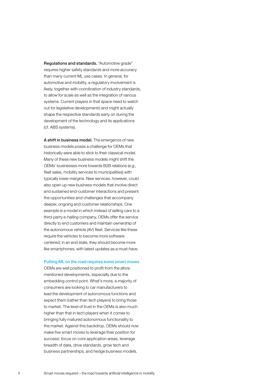Regulations and standards. "Automotive grade" requires higher safety standards and more accuracy than many current ML use cases. In general, for automotive and mobility, a regulatory involvement is likely, together with coordination of industry standards, to allow for scale as well as the integration of various systems. Current players in that space need to watch out for legislative developments and might actually shape the respective standards early on during the development of the technology and its applications (cf. ABS systems).

A shift in business model. The emergence of new business models poses a challenge for OEMs that historically were able to stick to their classical model. Many of these new business models might shift the OEMs' businesses more towards B2B relations (e.g., fleet sales, mobility services to municipalities) with typically lower margins. New services, however, could also open up new business models that involve direct and sustained end-customer interactions and present the opportunities and challenges that accompany deeper, ongoing end-customer relationships. One example is a model in which instead of selling cars to a third-party e-hailing company, OEMs offer the service directly to end customers and maintain ownership of the autonomous vehicle (AV) fleet. Services like these require the vehicles to become more software centered; in an end state, they should become more like smartphones, with latest updates as a must-have.

#### Putting ML on the road requires some smart moves

OEMs are well positioned to profit from the aforementioned developments, especially due to the embedding control point. What's more, a majority of consumers are looking to car manufacturers to lead the development of autonomous functions and expect them (rather than tech players) to bring those to market. The level of trust in the OEMs is also much higher than that in tech players when it comes to bringing fully matured autonomous functionality to the market. Against this backdrop, OEMs should now make five smart moves to leverage their position for success: focus on core application areas, leverage breadth of data, drive standards, grow tech and business partnerships, and hedge business models.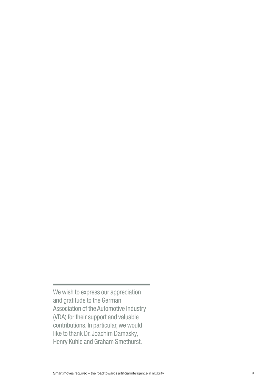We wish to express our appreciation and gratitude to the German Association of the Automotive Industry (VDA) for their support and valuable contributions. In particular, we would like to thank Dr. Joachim Damasky, Henry Kuhle and Graham Smethurst.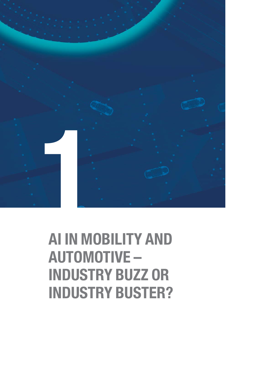

# AI IN MOBILITY AND AUTOMOTIVE – INDUSTRY BUZZ OR INDUSTRY BUSTER?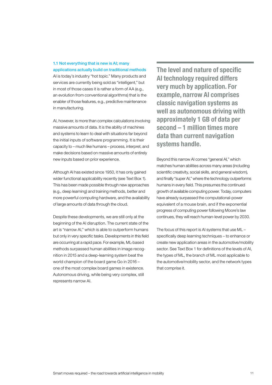### 1.1 Not everything that is new is AI; many

applications actually build on traditional methods AI is today's industry "hot topic." Many products and services are currently being sold as "intelligent," but in most of those cases it is rather a form of AA (e.g., an evolution from conventional algorithms) that is the enabler of those features, e.g., predictive maintenance in manufacturing.

AI, however, is more than complex calculations involving massive amounts of data. It is the ability of machines and systems to learn to deal with situations far beyond the initial inputs of software programming. It is their capacity to – much like humans – process, interpret, and make decisions based on massive amounts of entirely new inputs based on prior experience.

Although AI has existed since 1950, it has only gained wider functional applicability recently (see Text Box 1). This has been made possible through new approaches (e.g., deep learning) and training methods, better and more powerful computing hardware, and the availability of large amounts of data through the cloud.

Despite these developments, we are still only at the beginning of the AI disruption. The current state of the art is "narrow AI," which is able to outperform humans but only in very specific tasks. Developments in this field are occurring at a rapid pace. For example, ML-based methods surpassed human abilities in image recognition in 2015 and a deep-learning system beat the world champion of the board game Go in 2016 – one of the most complex board games in existence. Autonomous driving, while being very complex, still represents narrow AI.

The level and nature of specific AI technology required differs very much by application. For example, narrow AI comprises classic navigation systems as well as autonomous driving with approximately 1 GB of data per second – 1 million times more data than current navigation systems handle.

Beyond this narrow AI comes "general AI," which matches human abilities across many areas (including scientific creativity, social skills, and general wisdom), and finally "super AI," where the technology outperforms humans in every field. This presumes the continued growth of available computing power. Today, computers have already surpassed the computational-power equivalent of a mouse brain, and if the exponential progress of computing power following Moore's law continues, they will reach human-level power by 2030.

The focus of this report is AI systems that use ML – specifically deep learning techniques – to enhance or create new application areas in the automotive/mobility sector. See Text Box 1 for definitions of the levels of AI, the types of ML, the branch of ML most applicable to the automotive/mobility sector, and the network types that comprise it.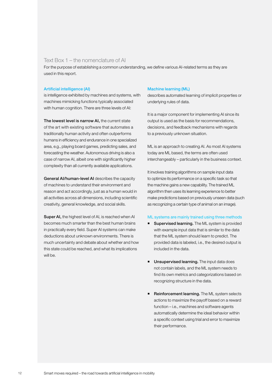#### Text Box 1 – the nomenclature of AI

For the purpose of establishing a common understanding, we define various AI-related terms as they are used in this report.

#### Artificial intelligence (AI)

is intelligence exhibited by machines and systems, with machines mimicking functions typically associated with human cognition. There are three levels of AI:

The lowest level is narrow AI, the current state of the art with existing software that automates a traditionally human activity and often outperforms humans in efficiency and endurance in one specialized area, e.g., playing board games, predicting sales, and forecasting the weather. Autonomous driving is also a case of narrow AI, albeit one with significantly higher complexity than all currently available applications.

General AI/human-level AI describes the capacity of machines to understand their environment and reason and act accordingly, just as a human would in all activities across all dimensions, including scientific creativity, general knowledge, and social skills.

Super AI, the highest level of AI, is reached when AI becomes much smarter than the best human brains in practically every field. Super AI systems can make deductions about unknown environments. There is much uncertainty and debate about whether and how this state could be reached, and what its implications will be.

#### Machine learning (ML)

describes automated learning of implicit properties or underlying rules of data.

It is a major component for implementing AI since its output is used as the basis for recommendations, decisions, and feedback mechanisms with regards to a previously unknown situation.

ML is an approach to creating AI. As most AI systems today are ML based, the terms are often used interchangeably – particularly in the business context.

It involves training algorithms on sample input data to optimize its performance on a specific task so that the machine gains a new capability. The trained ML algorithm then uses its learning experience to better make predictions based on previously unseen data (such as recognizing a certain type of animal on an image).

#### ML systems are mainly trained using three methods

- **Supervised learning.** The ML system is provided with example input data that is similar to the data that the ML system should learn to predict. The provided data is labeled, i.e., the desired output is included in the data.
- Unsupervised learning. The input data does not contain labels, and the ML system needs to find its own metrics and categorizations based on recognizing structure in the data.
- **Reinforcement learning.** The ML system selects actions to maximize the payoff based on a reward function – i.e., machines and software agents automatically determine the ideal behavior within a specific context using trial and error to maximize their performance.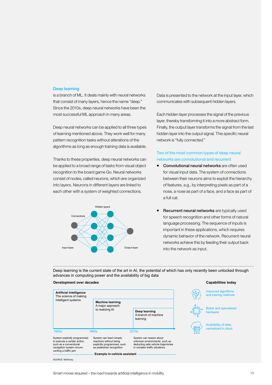#### Deep learning

is a branch of ML. It deals mainly with neural networks that consist of many layers, hence the name "deep." Since the 2010s, deep neural networks have been the most successful ML approach in many areas.

Deep neural networks can be applied to all three types of learning mentioned above. They work well for many pattern recognition tasks without alterations of the algorithms as long as enough training data is available.

Thanks to these properties, deep neural networks can be applied to a broad range of tasks from visual object recognition to the board game Go. Neural networks consist of nodes, called neurons, which are organized into layers. Neurons in different layers are linked to each other with a system of weighted connections.



Data is presented to the network at the input layer, which communicates with subsequent hidden layers.

Each hidden layer processes the signal of the previous layer, thereby transforming it into a more abstract form. Finally, the output layer transforms the signal from the last hidden layer into the output signal. This specific neural network is "fully connected."

#### Two of the most common types of deep neural networks are convolutional and recurrent

- Convolutional neural networks are often used for visual input data. The system of connections between their neurons aims to exploit the hierarchy of features, e.g., by interpreting pixels as part of a nose, a nose as part of a face, and a face as part of a full cat.
- Recurrent neural networks are typically used for speech recognition and other forms of natural language processing. The sequence of inputs is important in these applications, which requires dynamic behavior of the network. Recurrent neural networks achieve this by feeding their output back into the network as input.

Deep learning is the current state of the art in AI, the potential of which has only recently been unlocked through advances in computing power and the availability of big data

#### **Development over decades**

| Artificial intelligence<br>The science of making<br>intelligent systems                                                                      | <b>Machine learning</b><br>A major approach                                                                                                           |                                                                                                                                  |  |
|----------------------------------------------------------------------------------------------------------------------------------------------|-------------------------------------------------------------------------------------------------------------------------------------------------------|----------------------------------------------------------------------------------------------------------------------------------|--|
|                                                                                                                                              | to realizing Al                                                                                                                                       | Deep learning<br>A branch of machine<br>learning                                                                                 |  |
| 1950s                                                                                                                                        | 1980s                                                                                                                                                 | 2010 <sub>s</sub>                                                                                                                |  |
| System explicitly programmed<br>to execute a certain action.<br>such as a conventional<br>navigation system circum-<br>venting a traffic jam | System can learn simple<br>reactions without being<br>explicitly programmed, such<br>as pedestrian recognition<br><b>Example in-vehicle assistant</b> | System can reason about<br>unknown environments, such as<br>deducting safe vehicle trajectories<br>in complex traffic situations |  |

#### **Capabilities today**

Improved algorithms and training methods



Better and specialized hardware



ilability of data, ntralized in cloud

SOURCE: McKinsey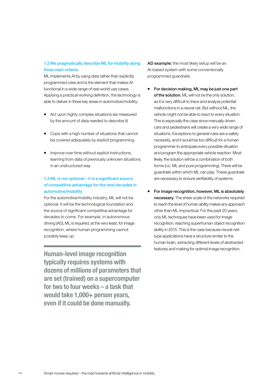#### 1.2 We pragmatically describe ML for mobility along three main criteria

ML implements AI by using data rather than explicitly programmed rules and is the element that makes AI functional in a wide range of real-world use cases. Applying a practical working definition, the technology is able to deliver in three key areas in automotive/mobility:

- Act upon highly complex situations (as measured by the amount of data needed to describe it)
- Cope with a high number of situations that cannot be covered adequately by explicit programming
- Improve over time without explicit instructions, learning from data of previously unknown situations in an unstructured way.

#### 1.3 ML is not optional – it is a significant source of competitive advantage for the next decades in automotive/mobility

For the automotive/mobility industry, ML will not be optional. It will be the technological foundation and the source of significant competitive advantage for decades to come. For example, in autonomous driving (AD), ML is required, at the very least, for image recognition, where human programming cannot possibly keep up.

Human-level image recognition typically requires systems with dozens of millions of parameters that are set (trained) on a supercomputer for two to four weeks – a task that would take 1,000+ person years, even if it could be done manually.

AD example: the most likely setup will be an AI-based system with some conventionally programmed guardrails.

- For decision making, ML may be just one part of the solution. ML will not be the only solution, as it is very difficult to trace and analyze potential malfunctions in a neural net. But without ML, the vehicle might not be able to react to every situation. This is especially the case since manually driven cars and pedestrians will create a very wide range of situations. Exceptions to general rules are a safety necessity, and it would be too difficult for a human programmer to anticipate every possible situation and program the appropriate vehicle reaction. Most likely, the solution will be a combination of both forms (i.e., ML and pure programming). There will be guardrails within which ML can play. These guardrails are necessary to ensure verifiability of systems.
- For image recognition, however, ML is absolutely necessary. The sheer scale of the networks required to reach the level of human ability makes any approach other than ML impractical. For the past 20 years, only ML techniques have been used for image recognition, reaching superhuman object recognition ability in 2015. This is the case because neural-nettype applications have a structure similar to the human brain, extracting different levels of abstracted features and making for optimal image recognition.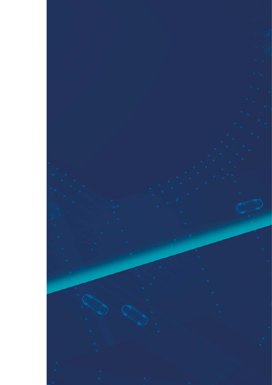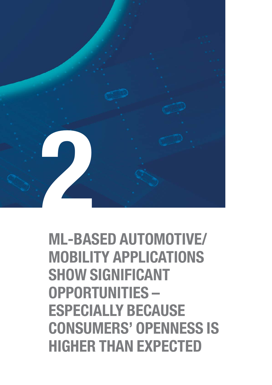

# ML-BASED AUTOMOTIVE/ MOBILITY APPLICATIONS SHOW SIGNIFICANT OPPORTUNITIES – ESPECIALLY BECAUSE CONSUMERS' OPENNESS IS HIGHER THAN EXPECTED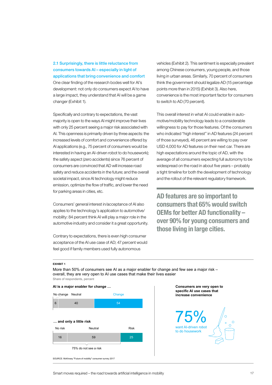#### 2.1 Surprisingly, there is little reluctance from consumers towards AI – especially in light of applications that bring convenience and comfort

One clear finding of the research bodes well for AI's development: not only do consumers expect AI to have a large impact, they understand that AI will be a game changer (Exhibit 1).

Specifically and contrary to expectations, the vast majority is open to the ways AI might improve their lives with only 25 percent seeing a major risk associated with AI. This openness is primarily driven by three aspects: the increased levels of comfort and convenience offered by AI applications (e.g., 75 percent of consumers would be interested in having an AI-driven robot to do housework); the safety aspect (zero accidents) since 76 percent of consumers are convinced that AD will increase road safety and reduce accidents in the future; and the overall societal impact, since AI technology might reduce emission, optimize the flow of traffic, and lower the need for parking areas in cities, etc.

Consumers' general interest in/acceptance of AI also applies to the technology's application to automotive/ mobility: 84 percent think AI will play a major role in the automotive industry and consider it a great opportunity.

Contrary to expectations, there is even high consumer acceptance of the AI use case of AD; 47 percent would feel good if family members used fully autonomous

vehicles (Exhibit 2). This sentiment is especially prevalent among Chinese consumers, young people, and those living in urban areas. Similarly, 70 percent of consumers think the government should legalize AD (15 percentage points more than in 2015) (Exhibit 3). Also here, convenience is the most important factor for consumers to switch to AD (70 percent).

This overall interest in what AI could enable in automotive/mobility technology leads to a considerable willingness to pay for those features. Of the consumers who indicated "high interest" in AD features (24 percent of those surveyed), 46 percent are willing to pay over USD 4,000 for AD features on their next car. There are high expectations around the topic of AD, with the average of all consumers expecting full autonomy to be widespread on the road in about five years – probably a tight timeline for both the development of technology and the rollout of the relevant regulatory framework.

AD features are so important to consumers that 65% would switch OEMs for better AD functionality – over 90% for young consumers and those living in large cities.

#### **EXHIBIT 1**

More than 50% of consumers see AI as a major enabler for change and few see a major risk – overall, they are very open to AI use cases that make their lives easier Share of respondents, percent



**Consumers are very open to specific AI use cases that increase convenience**

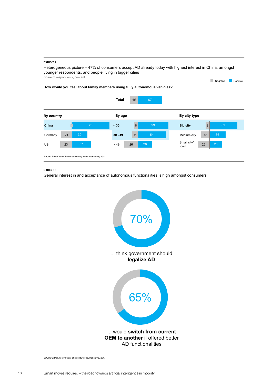#### **EXHIBIT 2**

Heterogeneous picture – 47% of consumers accept AD already today with highest interest in China, amongst younger respondents, and people living in bigger cities Share of respondents, percent

Negative **Positive** 

#### **How would you feel about family members using fully autonomous vehicles?**



### $\blacksquare$ EXHIBIT 3

General interest in and acceptance of autonomous functionalities is high amongst consumers



SOURCE: McKinsey "Future of mobility" consumer survey 2017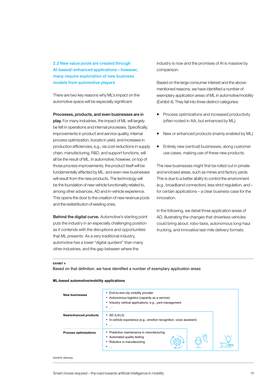2.2 New value pools are created through AI-based/-enhanced applications – however, many require exploration of new business models from automotive players

There are two key reasons why ML's impact on the automotive space will be especially significant.

#### Processes, products, and even businesses are in

play. For many industries, the impact of ML will largely be felt in operations and internal processes. Specifically, improvements in product and service quality, internal process optimization, boosts in yield, and increases in production efficiencies, e.g., via cost reductions in supply chain, manufacturing, R&D, and support functions, will all be the result of ML. In automotive, however, on top of those process improvements, the product itself will be fundamentally affected by ML, and even new businesses will result from the new products. The technology will be the foundation of new vehicle functionality related to, among other advances, AD and in-vehicle experience. This opens the door to the creation of new revenue pools and the redistribution of existing ones.

Behind the digital curve. Automotive's starting point puts the industry in an especially challenging position as it contends with the disruptions and opportunities that ML presents. As a very traditional industry, automotive has a lower "digital quotient" than many other industries, and the gap between where the

industry is now and the promises of AI is massive by comparison.

Based on the large consumer interest and the abovementioned reasons, we have identified a number of exemplary application areas of ML in automotive/mobility (Exhibit 4). They fall into three distinct categories:

- **Process optimizations and increased productivity** (often rooted in AA, but enhanced by ML)
- New or enhanced products (mainly enabled by ML)
- **Entirely new (vertical) businesses, along customer** use cases, making use of these new products.

The new businesses might first be rolled out in private and enclosed areas, such as mines and factory yards. This is due to a better ability to control the environment (e.g., broadband connection), less strict regulation, and – for certain applications – a clear business case for the innovation.

In the following, we detail three application areas of AD, illustrating the changes that driverless vehicles could bring about: robo-taxis, autonomous long-haul trucking, and innovative last-mile delivery formats.

#### **EXHIBIT 4**

Based on that definition, we have identified a number of exemplary application areas

| <b>New businesses</b>        | • End-to-end city mobility provider<br>Autonomous logistics (capacity as a service)<br>• Industry vertical applications, e.g., yard management<br>п<br>$\cdots$ |  |  |  |
|------------------------------|-----------------------------------------------------------------------------------------------------------------------------------------------------------------|--|--|--|
| <b>New/enhanced products</b> | • AD (L4/L5)<br>. In-vehicle experience (e.g., emotion recognition, voice assistant)<br>$\cdots$                                                                |  |  |  |
| <b>Process optimizations</b> | • Predictive maintenance in manufacturing<br>Automated quality testing<br>Robotics in manufacturing<br>$\cdots$                                                 |  |  |  |

#### **ML-based automotive/mobility applications**

SOURCE: McKinsey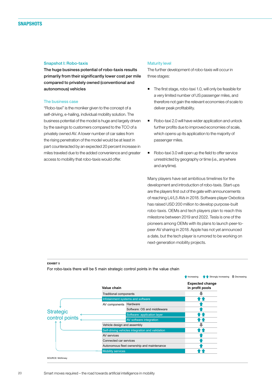#### Snapshot I: Robo-taxis

The huge business potential of robo-taxis results primarily from their significantly lower cost per mile compared to privately owned (conventional and autonomous) vehicles

#### The business case

"Robo-taxi" is the moniker given to the concept of a self-driving, e-hailing, individual mobility solution. The business potential of the model is huge and largely driven by the savings to customers compared to the TCO of a privately owned AV. A lower number of car sales from the rising penetration of the model would be at least in part counteracted by an expected 20 percent increase in miles traveled due to the added convenience and greater access to mobility that robo-taxis would offer.

#### Maturity level

The further development of robo-taxis will occur in three stages:

- The first stage, robo-taxi 1.0, will only be feasible for a very limited number of US passenger miles, and therefore not gain the relevant economies of scale to deliver peak profitability.
- Robo-taxi 2.0 will have wider application and unlock further profits due to improved economies of scale, which opens up its application to the majority of passenger miles.
- Robo-taxi 3.0 will open up the field to offer service unrestricted by geography or time (i.e., anywhere and anytime).

Many players have set ambitious timelines for the development and introduction of robo-taxis. Start-ups are the players first out of the gate with announcements of reaching L4/L5 AVs in 2018. Software player Oxbotica has raised USD 200 million to develop purpose-built robo-taxis. OEMs and tech players plan to reach this milestone between 2019 and 2022. Tesla is one of the pioneers among OEMs with its plans to launch peer-topeer AV sharing in 2018. Apple has not yet announced a date, but the tech player is rumored to be working on next-generation mobility projects.

#### **EXHIBIT 5**

For robo-taxis there will be 5 main strategic control points in the value chain



SOURCE: McKinsey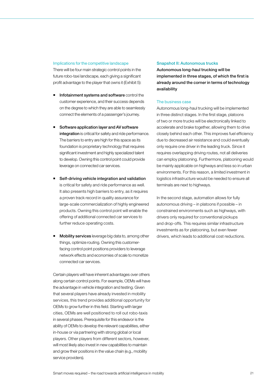#### Implications for the competitive landscape

There will be four main strategic control points in the future robo-taxi landscape, each giving a significant profit advantage to the player that owns it (Exhibit 5):

- Infotainment systems and software control the customer experience, and their success depends on the degree to which they are able to seamlessly connect the elements of a passenger's journey.
- Software application layer and AV software integration is critical for safety and ride performance. The barriers to entry are high for this space as its foundation is proprietary technology that requires significant investment and highly specialized talent to develop. Owning this control point could provide leverage on connected car services.
- Self-driving vehicle integration and validation is critical for safety and ride performance as well. It also presents high barriers to entry, as it requires a proven track record in quality assurance for large-scale commercialization of highly engineered products. Owning this control point will enable the offering of additional connected car services to further reduce operating costs.
- Mobility services leverage big data to, among other things, optimize routing. Owning this customerfacing control point positions providers to leverage network effects and economies of scale to monetize connected car services.

Certain players will have inherent advantages over others along certain control points. For example, OEMs will have the advantage in vehicle integration and testing. Given that several players have already invested in mobility services, this trend provides additional opportunity for OEMs to grow further in this field. Starting with larger cities, OEMs are well positioned to roll out robo-taxis in several phases. Prerequisite for this endeavor is the ability of OEMs to develop the relevant capabilities, either in-house or via partnering with strong global or local players. Other players from different sectors, however, will most likely also invest in new capabilities to maintain and grow their positions in the value chain (e.g., mobility service providers).

#### Snapshot II: Autonomous trucks

Autonomous long-haul trucking will be implemented in three stages, of which the first is already around the corner in terms of technology availability

#### The business case

Autonomous long-haul trucking will be implemented in three distinct stages. In the first stage, platoons of two or more trucks will be electronically linked to accelerate and brake together, allowing them to drive closely behind each other. This improves fuel efficiency due to decreased air resistance and could eventually only require one driver in the leading truck. Since it requires overlapping driving routes, not all deliveries can employ platooning. Furthermore, platooning would be mainly applicable on highways and less so in urban environments. For this reason, a limited investment in logistics infrastructure would be needed to ensure all terminals are next to highways.

In the second stage, automation allows for fully autonomous driving – in platoons if possible – in constrained environments such as highways, with drivers only required for conventional pickups and drop-offs. This requires similar infrastructure investments as for platooning, but even fewer drivers, which leads to additional cost reductions.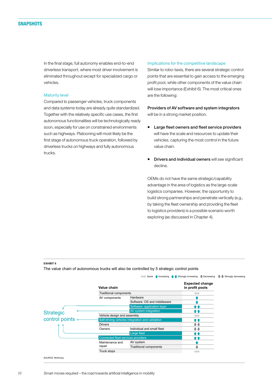In the final stage, full autonomy enables end-to-end driverless transport, where most driver involvement is eliminated throughout except for specialized cargo or vehicles.

#### Maturity level

Compared to passenger vehicles, truck components and data systems today are already quite standardized. Together with the relatively specific use cases, the first autonomous functionalities will be technologically ready soon, especially for use on constrained environments such as highways. Platooning will most likely be the first stage of autonomous truck operation, followed by driverless trucks on highways and fully autonomous trucks.

#### Implications for the competitive landscape

Similar to robo-taxis, there are several strategic control points that are essential to gain access to the emerging profit pool, while other components of the value chain will lose importance (Exhibit 6). The most critical ones are the following:

Providers of AV software and system integrators will be in a strong market position.

- Large fleet owners and fleet service providers will have the scale and resources to update their vehicles, capturing the most control in the future value chain.
- Drivers and individual owners will see significant decline.

OEMs do not have the same strategic/capability advantage in the area of logistics as the large-scale logistics companies. However, the opportunity to build strong partnerships and penetrate vertically (e.g., by taking the fleet ownership and providing the fleet to logistics providers) is a possible scenario worth exploring (as discussed in Chapter 4).

#### **EXHIBIT 6**

The value chain of autonomous trucks will also be controlled by 5 strategic control points

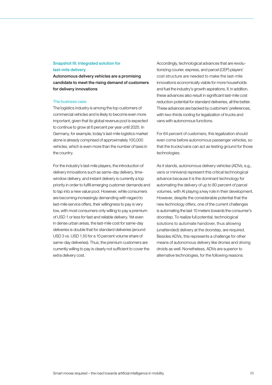#### Snapshot III: Integrated solution for last-mile delivery

Autonomous delivery vehicles are a promising candidate to meet the rising demand of customers for delivery innovations

#### The business case

The logistics industry is among the top customers of commercial vehicles and is likely to become even more important, given that its global revenue pool is expected to continue to grow at 6 percent per year until 2025. In Germany, for example, today's last-mile logistics market alone is already comprised of approximately 100,000 vehicles, which is even more than the number of taxis in the country.

For the industry's last-mile players, the introduction of delivery innovations such as same-day delivery, timewindow delivery, and instant delivery is currently a top priority in order to fulfill emerging customer demands and to tap into a new value pool. However, while consumers are becoming increasingly demanding with regard to last-mile service offers, their willingness to pay is very low, with most consumers only willing to pay a premium of USD 1 or less for fast and reliable delivery. Yet even in dense urban areas, the last-mile cost for same-day deliveries is double that for standard deliveries (around USD 3 vs. USD 1.50 for a 10 percent volume share of same-day deliveries). Thus, the premium customers are currently willing to pay is clearly not sufficient to cover the extra delivery cost.

Accordingly, technological advances that are revolutionizing courier, express, and parcel (CEP) players' cost structure are needed to make the last-mile innovations economically viable for more households and fuel the industry's growth aspirations. If, in addition, these advances also result in significant last-mile cost reduction potential for standard deliveries, all the better. These advances are backed by customers' preferences, with two-thirds rooting for legalization of trucks and vans with autonomous functions.

For 64 percent of customers, this legalization should even come before autonomous passenger vehicles, so that the trucks/vans can act as testing ground for those technologies.

As it stands, autonomous delivery vehicles (ADVs, e.g., vans or minivans) represent this critical technological advance because it is the dominant technology for automating the delivery of up to 80 percent of parcel volumes, with AI playing a key role in their development. However, despite the considerable potential that the new technology offers, one of the current challenges is automating the last 10 meters towards the consumer's doorstep. To realize full potential, technological solutions to automate handover, thus allowing (unattended) delivery at the doorstep, are required. Besides ADVs, this represents a challenge for other means of autonomous delivery like drones and driving droids as well. Nonetheless, ADVs are superior to alternative technologies, for the following reasons: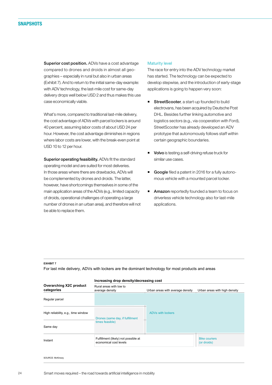#### **SNAPSHOTS**

Superior cost position. ADVs have a cost advantage compared to drones and droids in almost all geographies – especially in rural but also in urban areas (Exhibit 7). And to return to the initial same-day example: with ADV technology, the last-mile cost for same-day delivery drops well below USD 2 and thus makes this use case economically viable.

What's more, compared to traditional last-mile delivery, the cost advantage of ADVs with parcel lockers is around 40 percent, assuming labor costs of about USD 24 per hour. However, the cost advantage diminishes in regions where labor costs are lower, with the break-even point at USD 10 to 12 per hour.

Superior operating feasibility. ADVs fit the standard operating model and are suited for most deliveries. In those areas where there are drawbacks, ADVs will be complemented by drones and droids. The latter, however, have shortcomings themselves in some of the main application areas of the ADVs (e.g., limited capacity of droids, operational challenges of operating a large number of drones in an urban area), and therefore will not be able to replace them.

#### Maturity level

The race for entry into the ADV technology market has started. The technology can be expected to develop stepwise, and the introduction of early-stage applications is going to happen very soon:

- **StreetScooter**, a start-up founded to build electrovans, has been acquired by Deutsche Post DHL. Besides further linking automotive and logistics sectors (e.g., via cooperation with Ford), StreetScooter has already developed an ADV prototype that autonomously follows staff within certain geographic boundaries.
- Volvo is testing a self-driving refuse truck for similar use cases.
- Google filed a patent in 2016 for a fully autonomous vehicle with a mounted parcel locker.
- Amazon reportedly founded a team to focus on driverless vehicle technology also for last-mile applications.

#### **EXHIBIT 7**

For last mile delivery, ADVs with lockers are the dominant technology for most products and areas

| Increasing drop density/decreasing cost                        |                                  |                                     |  |  |  |
|----------------------------------------------------------------|----------------------------------|-------------------------------------|--|--|--|
| Rural areas with low to<br>average density                     | Urban areas with average density | Urban areas with high density       |  |  |  |
|                                                                |                                  |                                     |  |  |  |
| Drones (same day, if fulfillment                               | <b>ADVs with lockers</b>         |                                     |  |  |  |
| times feasible)                                                |                                  |                                     |  |  |  |
| Fulfillment (likely) not possible at<br>economical cost levels |                                  | <b>Bike couriers</b><br>(or droids) |  |  |  |
|                                                                |                                  |                                     |  |  |  |

SOURCE: McKinsey

#### 24 Smart moves required – the road towards artificial intelligence in mobility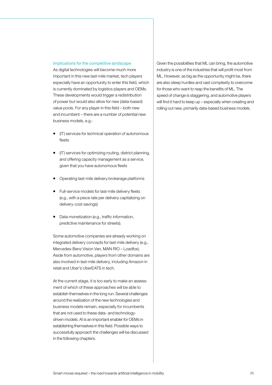#### Implications for the competitive landscape

As digital technologies will become much more important in this new last-mile market, tech players especially have an opportunity to enter this field, which is currently dominated by logistics players and OEMs. These developments would trigger a redistribution of power but would also allow for new (data-based) value pools. For any player in this field – both new and incumbent – there are a number of potential new business models, e.g.:

- (IT) services for technical operation of autonomous fleets
- (IT) services for optimizing routing, district planning, and offering capacity management as a service, given that you have autonomous fleets
- Operating last-mile delivery brokerage platforms
- Full-service models for last-mile delivery fleets (e.g., with a piece rate per delivery capitalizing on delivery-cost savings)
- Data monetization (e.g., traffic information, predictive maintenance for streets).

Some automotive companies are already working on integrated delivery concepts for last-mile delivery (e.g., Mercedes-Benz Vision Van, MAN RIO – Loadfox). Aside from automotive, players from other domains are also involved in last-mile delivery, including Amazon in retail and Uber's UberEATS in tech.

At the current stage, it is too early to make an assessment of which of these approaches will be able to establish themselves in the long run. Several challenges around the realization of the new technologies and business models remain, especially for incumbents that are not used to these data- and technologydriven models. AI is an important enabler for OEMs in establishing themselves in this field. Possible ways to successfully approach the challenges will be discussed in the following chapters.

Given the possibilities that ML can bring, the automotive industry is one of the industries that will profit most from ML. However, as big as the opportunity might be, there are also steep hurdles and vast complexity to overcome for those who want to reap the benefits of ML. The speed of change is staggering, and automotive players will find it hard to keep up – especially when creating and rolling out new, primarily data-based business models.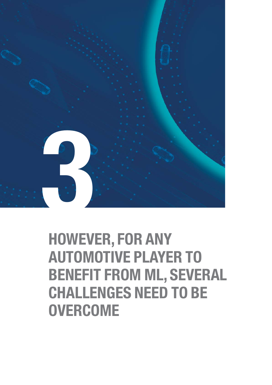

# HOWEVER, FOR ANY AUTOMOTIVE PLAYER TO BENEFIT FROM ML, SEVERAL CHALLENGES NEED TO BE **OVERCOME**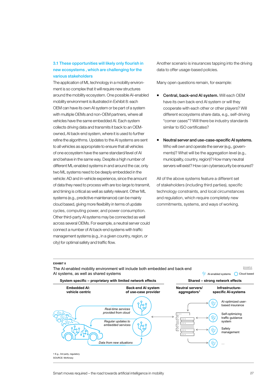#### 3.1 These opportunities will likely only flourish in new ecosystems , which are challenging for the various stakeholders

The application of ML technology in a mobility environment is so complex that it will require new structures around the mobility ecosystem. One possible AI-enabled mobility environment is illustrated in Exhibit 8: each OEM can have its own AI system or be part of a system with multiple OEMs and non-OEM partners, where all vehicles have the same embedded AI. Each system collects driving data and transmits it back to an OEMowned, AI back-end system, where it is used to further refine the algorithms. Updates to the AI systems are sent to all vehicles as appropriate to ensure that all vehicles of one ecosystem have the same standard/level of AI and behave in the same way. Despite a high number of different ML-enabled systems in and around the car, only two ML systems need to be deeply embedded in the vehicle: AD and in-vehicle experience, since the amount of data they need to process with are too large to transmit, and timing is critical as well as safety relevant. Other ML systems (e.g., predictive maintenance) can be mainly cloud based, giving more flexibility in terms of update cycles, computing power, and power consumption. Other third-party AI systems may be connected as well across several OEMs. For example, a neutral server could connect a number of AI back-end systems with traffic management systems (e.g., in a given country, region, or city) for optimal safety and traffic flow.

Another scenario is insurances tapping into the driving data to offer usage-based policies.

Many open questions remain, for example:

- Central, back-end AI system. Will each OEM have its own back-end AI system or will they cooperate with each other or other players? Will different ecosystems share data, e.g., self-driving "corner cases"? Will there be industry standards similar to ISO certificates?
- Neutral server and use-case-specific AI systems. Who will own and operate the server (e.g., governments)? What will be the aggregation level (e.g., municipality, country, region)? How many neutral servers will exist? How can cybersecurity be ensured?

All of the above systems feature a different set of stakeholders (including third parties), specific technology constraints, and local circumstances and regulation, which require completely new commitments, systems, and ways of working.



SOURCE: McKinsey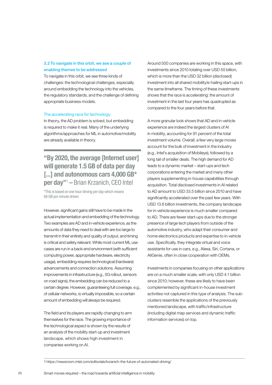#### 3.2 To navigate in this orbit, we see a couple of enabling themes to be addressed

To navigate in this orbit, we see three kinds of challenges: the technological challenges, especially around embedding the technology into the vehicles, the regulatory standards, and the challenge of defining appropriate business models.

#### The accelerating race for technology

In theory, the AD problem is solved, but embedding is required to make it real. Many of the underlying algorithms/approaches for ML in automotive/mobility are already available in theory.

### "By 2020, the average [Internet user] will generate 1.5 GB of data per day [...] and autonomous cars 4,000 GB\* per day"<sup>1</sup> - Brian Krzanich, CEO Intel

\*This is based on one hour driving per day which means 66 GB per minute driven

However, significant gains still have to be made in the actual implementation and embedding of the technology. Two examples are AD and in-vehicle experience, as the amounts of data they need to deal with are too large to transmit in their entirety and quality of output, and timing is critical and safety relevant. While most current ML use cases are run in a back-end environment (with sufficient computing power, appropriate hardware, electricity usage), embedding requires technological (hardware) advancements and connection solutions. Assuming improvements in infrastructure (e.g., 5G rollout, sensors on road signs), the embedding can be reduced to a certain degree. However, guaranteeing full coverage, e.g., of cellular networks, is virtually impossible, so a certain amount of embedding will always be required.

The field and its players are rapidly changing to arm themselves for the race. The growing importance of the technological aspect is shown by the results of an analysis of the mobility start-up and investment landscape, which shows high investment in companies working on AI.

Around 500 companies are working in this space, with investments since 2010 totaling over USD 50 billion, which is more than the USD 32 billion (disclosed) investment into all shared mobility/e-hailing start-ups in the same timeframe. The timing of these investments shows that the race is accelerating: the amount of investment in the last four years has quadrupled as compared to the four years before that.

A more granular look shows that AD and in-vehicle experience are indeed the largest clusters of AI in mobility, accounting for 91 percent of the total investment volume. Overall, a few very large moves account for the bulk of investment in the industry (e.g., Intel's acquisition of Mobileye), followed by a long tail of smaller deals. The high demand for AD leads to a dynamic market – start-ups and tech corporations entering the market and many other players supplementing in-house capabilities through acquisition. Total disclosed investments in AI related to AD amount to USD 33.5 billion since 2010 and have significantly accelerated over the past few years. With USD 13.6 billion investments, the company landscape for in-vehicle experience is much smaller compared to AD. There are fewer start-ups due to the stronger presence of large tech players from outside of the automotive industry, who adapt their consumer and home electronics products and expertise to in-vehicle use. Specifically, they integrate virtual and voice assistants for use in cars, e.g., Alexa, Siri, Cortana, or AliGenie, often in close cooperation with OEMs.

Investments in companies focusing on other applications are on a much smaller scale, with only USD 4.1 billion since 2010; however, these are likely to have been complemented by significant in-house investment activities not captured in this type of analysis. The subclusters resemble the applications of the previously mentioned landscape, with traffic/infrastructure (including digital map services and dynamic traffic information services) on top.

1 https://newsroom.intel.com/editorials/krzanich-the-future-of-automated-driving/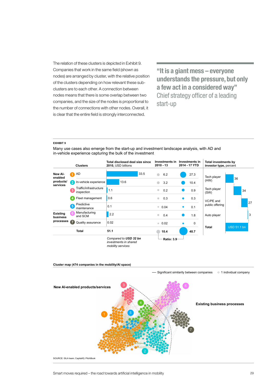The relation of these clusters is depicted in Exhibit 9. Companies that work in the same field (shown as nodes) are arranged by cluster, with the relative position of the clusters depending on how relevant these subclusters are to each other. A connection between nodes means that there is some overlap between two companies, and the size of the nodes is proportional to the number of connections with other nodes. Overall, it is clear that the entire field is strongly interconnected.

"It is a giant mess – everyone understands the pressure, but only a few act in a considered way" Chief strategy officer of a leading start-up

#### **EXHIBIT 9**

Many use cases also emerge from the start-up and investment landscape analysis, with AD and in-vehicle experience capturing the bulk of the investment



**Cluster map (474 companies in the mobility/AI space)**



 $\overline{\phantom{a}}$  Significant similarity between companies  $\overline{\phantom{a}}$  1 individual company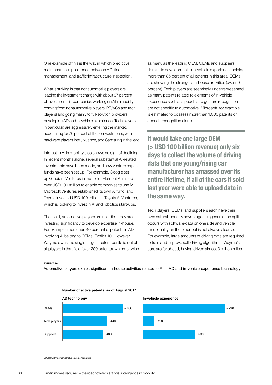One example of this is the way in which predictive maintenance is positioned between AD, fleet management, and traffic/infrastructure inspection.

What is striking is that nonautomotive players are leading the investment charge with about 97 percent of investments in companies working on AI in mobility coming from nonautomotive players (PE/VCs and tech players) and going mainly to full-solution providers developing AD and in-vehicle experience. Tech players, in particular, are aggressively entering the market, accounting for 70 percent of these investments, with hardware players Intel, Nuance, and Samsung in the lead.

Interest in AI in mobility also shows no sign of declining. In recent months alone, several substantial AI-related investments have been made, and new venture capital funds have been set up. For example, Google set up Gradient Ventures in that field, Element AI raised over USD 100 million to enable companies to use ML, Microsoft Ventures established its own AI fund, and Toyota invested USD 100 million in Toyota AI Ventures, which is looking to invest in AI and robotics start-ups.

That said, automotive players are not idle – they are investing significantly to develop expertise in-house. For example, more than 40 percent of patents in AD involving AI belong to OEMs (Exhibit 10). However, Waymo owns the single-largest patent portfolio out of all players in that field (over 200 patents), which is twice as many as the leading OEM. OEMs and suppliers dominate development in in-vehicle experience, holding more than 85 percent of all patents in this area. OEMs are showing the strongest in-house activities (over 50 percent). Tech players are seemingly underrepresented, as many patents related to elements of in-vehicle experience such as speech and gesture recognition are not specific to automotive. Microsoft, for example, is estimated to possess more than 1.000 patents on speech recognition alone.

It would take one large OEM (> USD 100 billion revenue) only six days to collect the volume of driving data that one young/rising car manufacturer has amassed over its entire lifetime, if all of the cars it sold last year were able to upload data in the same way.

Tech players, OEMs, and suppliers each have their own natural industry advantages. In general, the split occurs with software/data on one side and vehicle functionality on the other but is not always clear-cut. For example, large amounts of driving data are required to train and improve self-driving algorithms. Waymo's cars are far ahead, having driven almost 3 million miles

**EXHIBIT 10**

Automotive players exhibit significant in-house activities related to AI in AD and in-vehicle experience technology



SOURCE: Innography; McKinsey patent analysis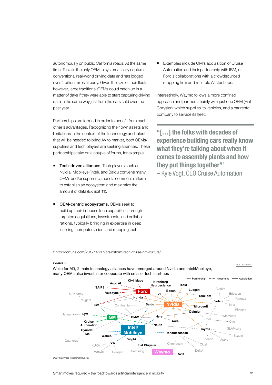autonomously on public California roads. At the same time, Tesla is the only OEM to systematically capture conventional real-world driving data and has logged over 4 billion miles already. Given the size of their fleets, however, large traditional OEMs could catch up in a matter of days if they were able to start capturing driving data in the same way just from the cars sold over the past year.

Partnerships are formed in order to benefit from each other's advantages. Recognizing their own assets and limitations in the context of the technology and talent that will be needed to bring AV to market, both OEMs/ suppliers and tech players are seeking alliances. These partnerships take on a couple of forms, for example:

- Tech-driven alliances. Tech players such as Nvidia, Mobileye (Intel), and Baidu convene many OEMs and/or suppliers around a common platform to establish an ecosystem and maximize the amount of data (Exhibit 11).
- OEM-centric ecosystems. OEMs seek to build up their in-house tech capabilities through targeted acquisitions, investments, and collaborations, typically bringing in expertise in deep learning, computer vision, and mapping tech.

 Examples include GM's acquisition of Cruise Automation and their partnership with IBM, or Ford's collaborations with a crowdsourced mapping firm and multiple AI start-ups.

Interestingly, Waymo follows a more confined approach and partners mainly with just one OEM (Fiat Chrysler), which supplies its vehicles, and a car rental company to service its fleet.

"[…] the folks with decades of experience building cars really know what they're talking about when it comes to assembly plants and how they put things together"<sup>2</sup> – Kyle Vogt, CEO Cruise Automation

2 http://fortune.com/2017/07/17/brainstorm-tech-cruise-gm-culture/

#### **EXHIBIT 11**

While for AD, 2 main technology alliances have emerged around Nvidia and Intel/Mobileye, many OEMs also invest in or cooperate with smaller tech start-ups



NOT EXHAUSTIVE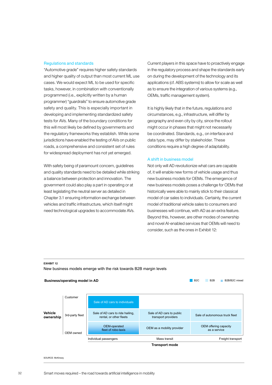#### Regulations and standards

"Automotive grade" requires higher safety standards and higher quality of output than most current ML use cases. We would expect ML to be used for specific tasks, however, in combination with conventionally programmed (i.e., explicitly written by a human programmer) "guardrails" to ensure automotive grade safety and quality. This is especially important in developing and implementing standardized safety tests for AVs. Many of the boundary conditions for this will most likely be defined by governments and the regulatory frameworks they establish. While some jurisdictions have enabled the testing of AVs on public roads, a comprehensive and consistent set of rules for widespread deployment has not yet emerged.

With safety being of paramount concern, guidelines and quality standards need to be detailed while striking a balance between protection and innovation. The government could also play a part in operating or at least legislating the neutral server as detailed in Chapter 3.1 ensuring information exchange between vehicles and traffic infrastructure, which itself might need technological upgrades to accommodate AVs.

Current players in this space have to proactively engage in the regulatory process and shape the standards early on during the development of the technology and its applications (cf. ABS systems) to allow for scale as well as to ensure the integration of various systems (e.g., OEMs, traffic management system).

It is highly likely that in the future, regulations and circumstances, e.g., infrastructure, will differ by geography and even city by city, since the rollout might occur in phases that might not necessarily be coordinated. Standards, e.g., on interface and data type, may differ by stakeholder. These conditions require a high degree of adaptability.

#### A shift in business model

Not only will AD revolutionize what cars are capable of, it will enable new forms of vehicle usage and thus new business models for OEMs. The emergence of new business models poses a challenge for OEMs that historically were able to mainly stick to their classical model of car sales to individuals. Certainly, the current model of traditional vehicle sales to consumers and businesses will continue, with AD as an extra feature. Beyond this, however, are other modes of ownership and novel AI-enabled services that OEMs will need to consider, such as the ones in Exhibit 12:

#### **EXHIBIT 12**

New business models emerge with the risk towards B2B margin levels



SOURCE: McKinsey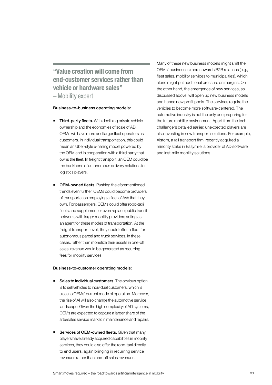"Value creation will come from end-customer services rather than vehicle or hardware sales" – Mobility expert

Business-to-business operating models:

- **Third-party fleets.** With declining private vehicle ownership and the economies of scale of AD, OEMs will have more and larger fleet operators as customers. In individual transportation, this could mean an Uber-style e-hailing model powered by the OEM and in cooperation with a third party that owns the fleet. In freight transport, an OEM could be the backbone of autonomous delivery solutions for logistics players.
- OEM-owned fleets. Pushing the aforementioned trends even further, OEMs could become providers of transportation employing a fleet of AVs that they own. For passengers, OEMs could offer robo-taxi fleets and supplement or even replace public transit networks with larger mobility providers acting as an agent for these modes of transportation. At the freight transport level, they could offer a fleet for autonomous parcel and truck services. In these cases, rather than monetize their assets in one-off sales, revenue would be generated as recurring fees for mobility services.

#### Business-to-customer operating models:

- Sales to individual customers. The obvious option is to sell vehicles to individual customers, which is close to OEMs' current mode of operation. Moreover, the rise of AI will also change the automotive service landscape. Given the high complexity of AD systems, OEMs are expected to capture a larger share of the aftersales service market in maintenance and repairs.
- Services of OEM-owned fleets. Given that many players have already acquired capabilities in mobility services, they could also offer the robo-taxi directly to end users, again bringing in recurring service revenues rather than one-off sales revenues.

Many of these new business models might shift the OEMs' businesses more towards B2B relations (e.g., fleet sales, mobility services to municipalities), which alone might put additional pressure on margins. On the other hand, the emergence of new services, as discussed above, will open up new business models and hence new profit pools. The services require the vehicles to become more software-centered. The automotive industry is not the only one preparing for the future mobility environment. Apart from the tech challengers detailed earlier, unexpected players are also investing in new transport solutions. For example, Alstom, a rail transport firm, recently acquired a minority stake in Easymile, a provider of AD software and last-mile mobility solutions.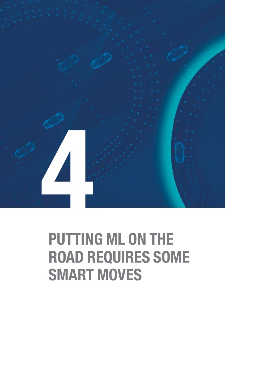

# PUTTING ML ON THE ROAD REQUIRES SOME SMART MOVES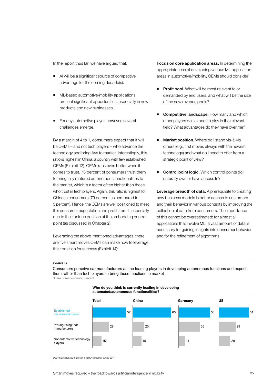In the report thus far, we have argued that:

- AI will be a significant source of competitive advantage for the coming decade(s).
- ML-based automotive/mobility applications present significant opportunities, especially in new products and new businesses.
- For any automotive player, however, several challenges emerge.

By a margin of 4 to 1, consumers expect that it will be OEMs – and not tech players – who advance the technology and bring AVs to market. Interestingly, this ratio is highest in China, a country with few established OEMs (Exhibit 13). OEMs rank even better when it comes to trust. 73 percent of consumers trust them to bring fully matured autonomous functionalities to the market, which is a factor of ten higher than those who trust in tech players. Again, this ratio is highest for Chinese consumers (79 percent as compared to 5 percent). Hence, the OEMs are well positioned to meet this consumer expectation and profit from it, especially due to their unique position at the embedding control point (as discussed in Chapter 2).

Leveraging the above-mentioned advantages, there are five smart moves OEMs can make now to leverage their position for success (Exhibit 14):

Focus on core application areas. In determining the appropriateness of developing various ML application areas in automotive/mobility, OEMs should consider:

- **Profit pool.** What will be most relevant to or demanded by end users, and what will be the size of the new revenue pools?
- Competitive landscape. How many and which other players do I expect to play in the relevant field? What advantages do they have over me?
- **Market position.** Where do I stand vis-à-vis others (e.g., first mover, always with the newest technology) and what do I need to offer from a strategic point of view?
- Control point logic. Which control points do I naturally own or have access to?

Leverage breadth of data. A prerequisite to creating new business models is better access to customers and their behavior in various contexts by improving the collection of data from consumers. The importance of this cannot be overestimated: for almost all applications that involve ML, a vast amount of data is necessary for gaining insights into consumer behavior and for the refinement of algorithms.

#### **EXHIBIT 13**

Consumers perceive car manufacturers as the leading players in developing autonomous functions and expect them rather than tech players to bring those functions to market Share of respondents, percent



#### **Who do you think is currently leading in developing automated/autonomous functionalities?**

SOURCE: McKinsey "Future of mobility" consumer survey 2017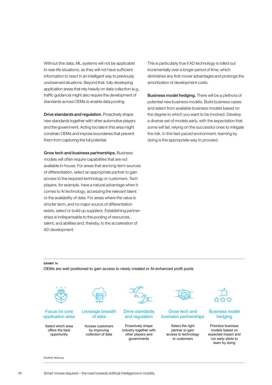Without this data, ML systems will not be applicable to real-life situations, as they will not have sufficient information to react in an intelligent way to previously unobserved situations. Beyond that, fully developing application areas that rely heavily on data collection (e.g., traffic guidance) might also require the development of standards across OEMs to enable data pooling.

**Drive standards and regulation.** Proactively shape new standards together with other automotive players and the government. Acting too late in this area might constrain OEMs and impose boundaries that prevent them from capturing the full potential.

Grow tech and business partnerships. Business models will often require capabilities that are not available in-house. For areas that are long-term sources of differentiation, select an appropriate partner to gain access to the required technology or customers. Tech players, for example, have a natural advantage when it comes to AI technology, accessing the relevant talent or the availability of data. For areas where the value is shorter term, and no major source of differentiation exists, select or build up suppliers. Establishing partnerships is indispensable to the pooling of resources, talent, and abilities and, thereby, to the acceleration of AD development.

This is particularly true if AD technology is rolled out incrementally over a longer period of time, which diminishes any first-mover advantages and prolongs the amortization of development costs.

Business model hedging. There will be a plethora of potential new business models. Build business cases and select from available business models based on the degree to which you want to be involved. Develop a diverse set of models early, with the expectation that some will fail, relying on the successful ones to mitigate the risk. In this fast-paced environment, learning by doing is the appropriate way to proceed.

#### **EXHIBIT 14**

OEMs are well positioned to gain access to newly created or AI-enhanced profit pools



#### Focus on core application area

Select which area offers the best opportunity



#### Leverage breadth of data

Access customers by improving collection of data



#### Drive standards and regulation

Proactively shape industry together with other players and governments



#### Grow tech and business partnerships

Select the right partner to gain access to technology or customers



#### Business model hedging

Prioritize business models based on expected impact and run early pilots to learn by doing

SOURCE: McKinsey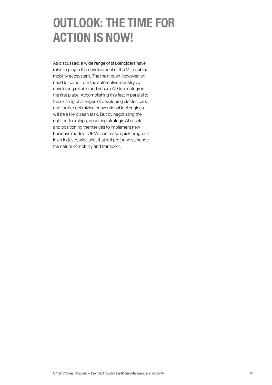### OUTLOOK: THE TIME FOR ACTION IS NOW!

As discussed, a wide range of stakeholders have roles to play in the development of the ML-enabled mobility ecosystem. The main push, however, will need to come from the automotive industry by developing reliable and secure AD technology in the first place. Accomplishing this feat in parallel to the existing challenges of developing electric cars and further optimizing conventional fuel engines will be a Herculean task. But by negotiating the right partnerships, acquiring strategic AI assets, and positioning themselves to implement new business models, OEMs can make quick progress in an industrywide shift that will profoundly change the nature of mobility and transport.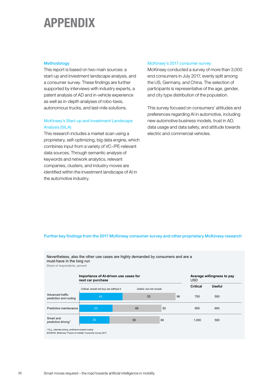### APPENDIX

#### **Methodology**

This report is based on two main sources: a start-up and investment landscape analysis, and a consumer survey. These findings are further supported by interviews with industry experts, a patent analysis of AD and in-vehicle experience as well as in-depth analyses of robo-taxis, autonomous trucks, and last-mile solutions.

#### McKinsey's Start-up and Investment Landscape Analysis (SILA)

This research includes a market scan using a proprietary, self-optimizing, big data engine, which combines input from a variety of VC-/PE-relevant data sources. Through semantic analysis of keywords and network analytics, relevant companies, clusters, and industry moves are identified within the investment landscape of AI in the automotive industry.

#### McKinsey's 2017 consumer survey

McKinsey conducted a survey of more than 3,000 end consumers in July 2017, evenly split among the US, Germany, and China. The selection of participants is representative of the age, gender, and city type distribution of the population.

This survey focused on consumers' attitudes and preferences regarding AI in automotive, including new automotive business models, trust in AD, data usage and data safety, and attitude towards electric and commercial vehicles.

#### Further key findings from the 2017 McKinsey consumer survey and other proprietary McKinsey research

Nevertheless, also the other use cases are highly demanded by consumers and are a must-have in the long run Share of respondents, percent

|                                                                                                                 | Importance of AI-driven use cases for<br>next car purchase |  |                         |    | Average willingness to pay<br><b>USD</b> |                 |               |
|-----------------------------------------------------------------------------------------------------------------|------------------------------------------------------------|--|-------------------------|----|------------------------------------------|-----------------|---------------|
|                                                                                                                 | Critical, would not buy car without it                     |  | Useful, but not crucial |    |                                          | <b>Critical</b> | <b>Useful</b> |
| Advanced traffic<br>prediction and routing                                                                      | 43                                                         |  | 53                      |    | 96                                       | 700             | 500           |
| Predictive maintenance                                                                                          | 33                                                         |  | 49                      | 82 |                                          | 900             | 600           |
| Smart and<br>predictive driving <sup>1</sup>                                                                    | 30                                                         |  | 50                      | 80 |                                          | 1.000           | 500           |
| 1 E.g., calendar pickup, preference-based routing<br>SOURCE: McKinsey "Future of mobility" consumer survey 2017 |                                                            |  |                         |    |                                          |                 |               |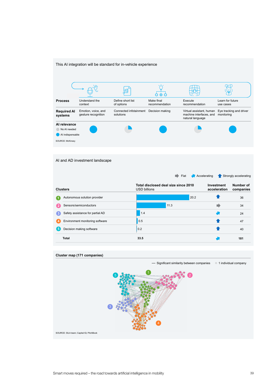#### This AI integration will be standard for in-vehicle experience



#### AI and AD investment landscape

|     |                                  | ∍<br><b>Accelerating</b><br>Strongly accelerating<br>Flat   |      |                            |                        |  |
|-----|----------------------------------|-------------------------------------------------------------|------|----------------------------|------------------------|--|
|     | <b>Clusters</b>                  | Total disclosed deal size since 2010<br><b>USD billions</b> |      | Investment<br>acceleration | Number of<br>companies |  |
|     | Autonomous solution provider     |                                                             | 20.2 |                            | 36                     |  |
|     | Sensors/semiconductors           | 11.3                                                        |      |                            | 34                     |  |
| (3) | Safety assistance for partial AD | 1.4                                                         |      |                            | 24                     |  |
|     | Environment monitoring software  | 0.5                                                         |      |                            | 47                     |  |
| 5   | Decision making software         | 0.2                                                         |      |                            | 40                     |  |
|     | <b>Total</b>                     | 33.5                                                        |      |                            | 181                    |  |



#### **Cluster map (171 companies)**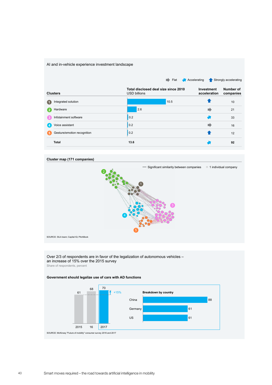#### AI and in-vehicle experience investment landscape

|                |                             | -7<br>rial<br>Total disclosed deal size since 2010 | $\sim$ Accelerating $\sim$ Subrigity accelerating<br>Investment | Number of |  |
|----------------|-----------------------------|----------------------------------------------------|-----------------------------------------------------------------|-----------|--|
|                | <b>Clusters</b>             | <b>USD billions</b>                                | acceleration                                                    | companies |  |
| $\blacksquare$ | Integrated solution         | 10.5                                               |                                                                 | 10        |  |
| 2              | Hardware                    | 2.6                                                |                                                                 | 21        |  |
| -3             | Infotainment software       | 0.2                                                |                                                                 | 33        |  |
| $\overline{4}$ | Voice assistant             | 0.2                                                |                                                                 | 16        |  |
| 5              | Gesture/emotion recognition | 0.2                                                |                                                                 | 12        |  |
|                | <b>Total</b>                | 13.6                                               |                                                                 | 92        |  |

Flat Accelerating Strongly accelerating

#### **Cluster map (171 companies)**



Over 2/3 of respondents are in favor of the legalization of autonomous vehicles – an increase of 15% over the 2015 survey Share of respondents, percent

#### **Government should legalize use of cars with AD functions**

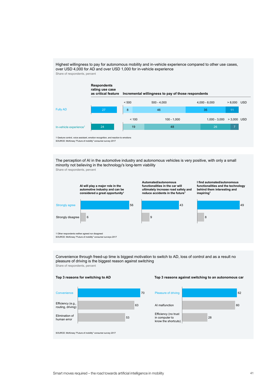#### Highest willingness to pay for autonomous mobility and in-vehicle experience compared to other use cases, over USD 4,000 for AD and over USD 1,000 for in-vehicle experience Share of respondents, percent



SOURCE: McKinsey "Future of mobility" consumer survey 2017

The perception of AI in the automotive industry and autonomous vehicles is very positive, with only a small minority not believing in the technology's long-term viability Share of respondents, percent



**Automated/autonomous functionalities in the car will ultimately increase road safety and reduce accidents in the future1**



**I find automated/autonomous functionalities and the technology behind them interesting and inspiring1**



Share of respondents, percent Convenience through freed-up time is biggest motivation to switch to AD, loss of control and as a result no pleasure of driving is the biggest reason against switching



#### **Top 3 reasons against switching to an autonomous car**





SOURCE: McKinsey "Future of mobility" consumer survey 2017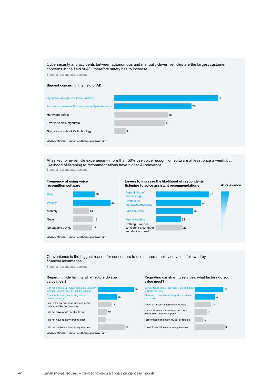#### Cybersecurity and accidents between autonomous and manually-driven vehicles are the largest customer concerns in the field of AD, therefore safety has to increase

Share of respondents, percent

#### **Biggest concern in the field of AD**



Share of respondents, percent AI as key for in-vehicle experience – more than 50% use voice recognition software at least once a week, but likelihood of listening to recommendations have higher AI relevance



#### Convenience is the biggest reason for consumers to use shared mobility services, followed by financial advantages

Share of respondents, percent

#### **Regarding ride hailing, what factors do you value most?**



**value most?**

**Regarding car sharing services, what factors do you**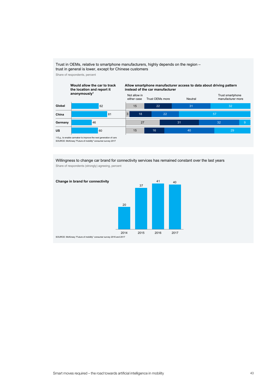#### Trust in OEMs, relative to smartphone manufacturers, highly depends on the region – trust in general is lower, except for Chinese customers

Share of respondents, percent



Willingness to change car brand for connectivity services has remained constant over the last years

Share of respondents (strongly) agreeing, percent

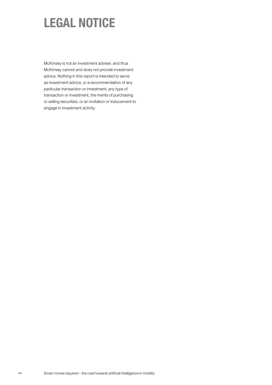## LEGAL NOTICE

McKinsey is not an investment adviser, and thus McKinsey cannot and does not provide investment advice. Nothing in this report is intended to serve as investment advice, or a recommendation of any particular transaction or investment, any type of transaction or investment, the merits of purchasing or selling securities, or an invitation or inducement to engage in investment activity.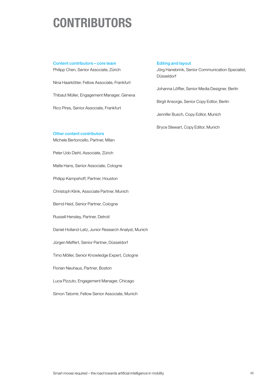## **CONTRIBUTORS**

#### Content contributors – core team

Philipp Chen, Senior Associate, Zürich

Nina Haarkötter, Fellow Associate, Frankfurt

Thibaut Müller, Engagement Manager, Geneva

Rico Pires, Senior Associate, Frankfurt

#### Other content contributors

Michele Bertoncello, Partner, Milan

Peter Udo Diehl, Associate, Zürich

Malte Hans, Senior Associate, Cologne

Philipp Kampshoff, Partner, Houston

Christoph Klink, Associate Partner, Munich

Bernd Heid, Senior Partner, Cologne

Russell Hensley, Partner, Detroit

Daniel Holland-Letz, Junior Research Analyst, Munich

Jürgen Meffert, Senior Partner, Düsseldorf

Timo Möller, Senior Knowledge Expert, Cologne

Florian Neuhaus, Partner, Boston

Luca Pizzuto, Engagement Manager, Chicago

Simon Tatomir, Fellow Senior Associate, Munich

#### Editing and layout

Jörg Hanebrink, Senior Communication Specialist, Düsseldorf

Johanna Löffler, Senior Media Designer, Berlin

Birgit Ansorge, Senior Copy Editor, Berlin

Jennifer Busch, Copy Editor, Munich

Bryce Stewart, Copy Editor, Munich